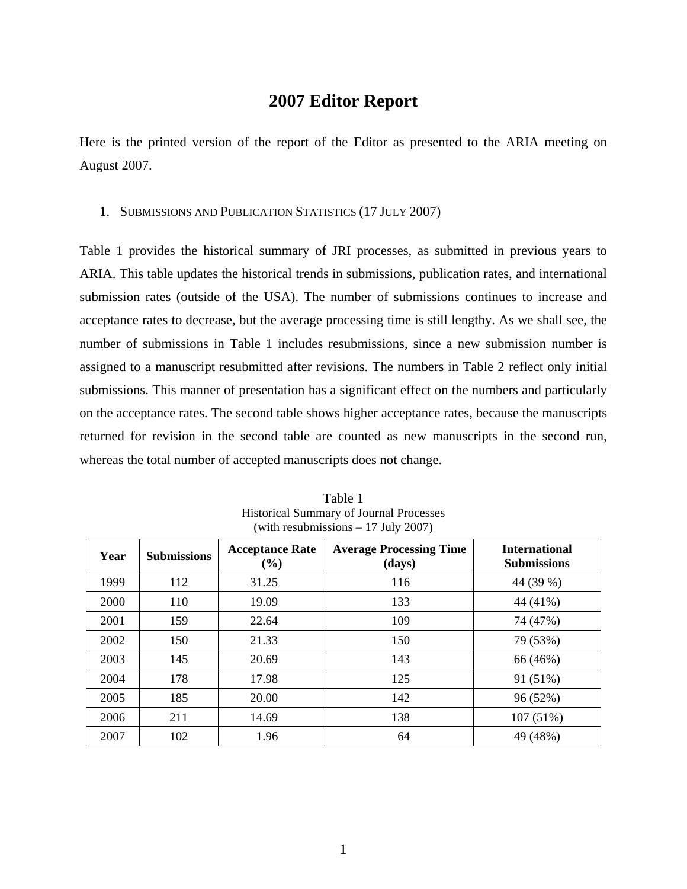# **2007 Editor Report**

Here is the printed version of the report of the Editor as presented to the ARIA meeting on August 2007.

# 1. SUBMISSIONS AND PUBLICATION STATISTICS (17 JULY 2007)

Table 1 provides the historical summary of JRI processes, as submitted in previous years to ARIA. This table updates the historical trends in submissions, publication rates, and international submission rates (outside of the USA). The number of submissions continues to increase and acceptance rates to decrease, but the average processing time is still lengthy. As we shall see, the number of submissions in Table 1 includes resubmissions, since a new submission number is assigned to a manuscript resubmitted after revisions. The numbers in Table 2 reflect only initial submissions. This manner of presentation has a significant effect on the numbers and particularly on the acceptance rates. The second table shows higher acceptance rates, because the manuscripts returned for revision in the second table are counted as new manuscripts in the second run, whereas the total number of accepted manuscripts does not change.

| Year | <b>Submissions</b> | <b>Acceptance Rate</b><br>(%) | <b>Average Processing Time</b><br>(days) | <b>International</b><br><b>Submissions</b> |  |  |
|------|--------------------|-------------------------------|------------------------------------------|--------------------------------------------|--|--|
| 1999 | 112                | 31.25                         | 116                                      | 44 (39 %)                                  |  |  |
| 2000 | 110                | 19.09                         | 133                                      | 44 (41%)                                   |  |  |
| 2001 | 159                | 22.64                         | 109                                      | 74 (47%)                                   |  |  |
| 2002 | 150                | 21.33                         | 150                                      | 79 (53%)                                   |  |  |
| 2003 | 145                | 20.69                         | 143                                      | 66 (46%)                                   |  |  |
| 2004 | 178                | 17.98                         | 125                                      | 91 (51%)                                   |  |  |
| 2005 | 185                | 20.00                         | 142                                      | 96 (52%)                                   |  |  |
| 2006 | 211                | 14.69                         | 138                                      | 107 (51%)                                  |  |  |
| 2007 | 102                | 1.96                          | 64                                       | 49 (48%)                                   |  |  |

Table 1 Historical Summary of Journal Processes (with resubmissions – 17 July 2007)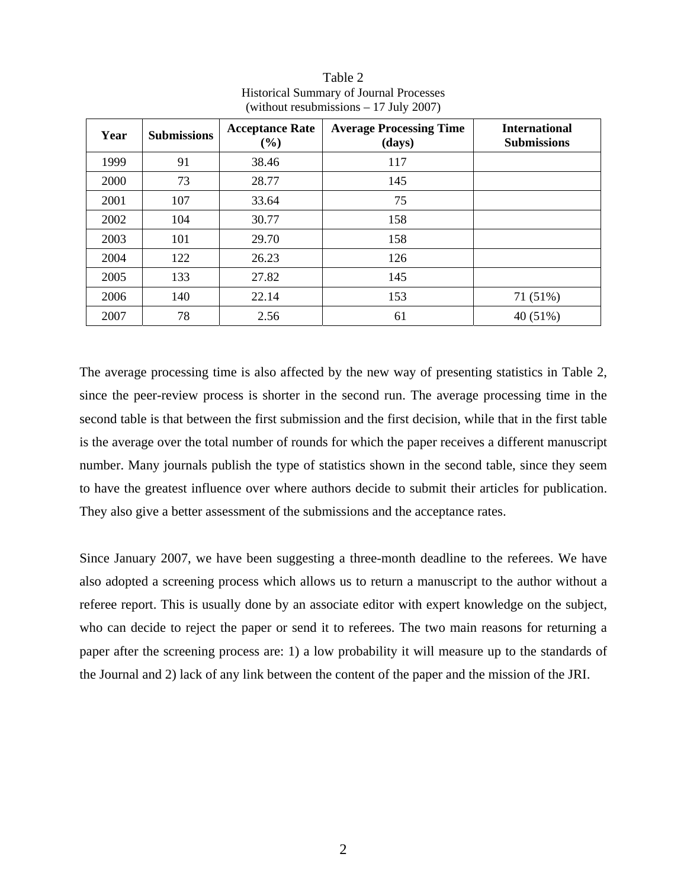| Year | <b>Submissions</b> | <b>Acceptance Rate</b><br>(%) | <b>Average Processing Time</b><br>(days) | <b>International</b><br><b>Submissions</b> |  |
|------|--------------------|-------------------------------|------------------------------------------|--------------------------------------------|--|
| 1999 | 91                 | 38.46                         | 117                                      |                                            |  |
| 2000 | 73                 | 28.77                         | 145                                      |                                            |  |
| 2001 | 107                | 33.64                         | 75                                       |                                            |  |
| 2002 | 104                | 30.77                         | 158                                      |                                            |  |
| 2003 | 101                | 29.70                         | 158                                      |                                            |  |
| 2004 | 122                | 26.23                         | 126                                      |                                            |  |
| 2005 | 133                | 27.82                         | 145                                      |                                            |  |
| 2006 | 140                | 22.14                         | 153                                      | 71 (51%)                                   |  |
| 2007 | 78                 | 2.56                          | 61                                       | 40 (51%)                                   |  |

Table 2 Historical Summary of Journal Processes (without resubmissions – 17 July 2007)

The average processing time is also affected by the new way of presenting statistics in Table 2, since the peer-review process is shorter in the second run. The average processing time in the second table is that between the first submission and the first decision, while that in the first table is the average over the total number of rounds for which the paper receives a different manuscript number. Many journals publish the type of statistics shown in the second table, since they seem to have the greatest influence over where authors decide to submit their articles for publication. They also give a better assessment of the submissions and the acceptance rates.

Since January 2007, we have been suggesting a three-month deadline to the referees. We have also adopted a screening process which allows us to return a manuscript to the author without a referee report. This is usually done by an associate editor with expert knowledge on the subject, who can decide to reject the paper or send it to referees. The two main reasons for returning a paper after the screening process are: 1) a low probability it will measure up to the standards of the Journal and 2) lack of any link between the content of the paper and the mission of the JRI.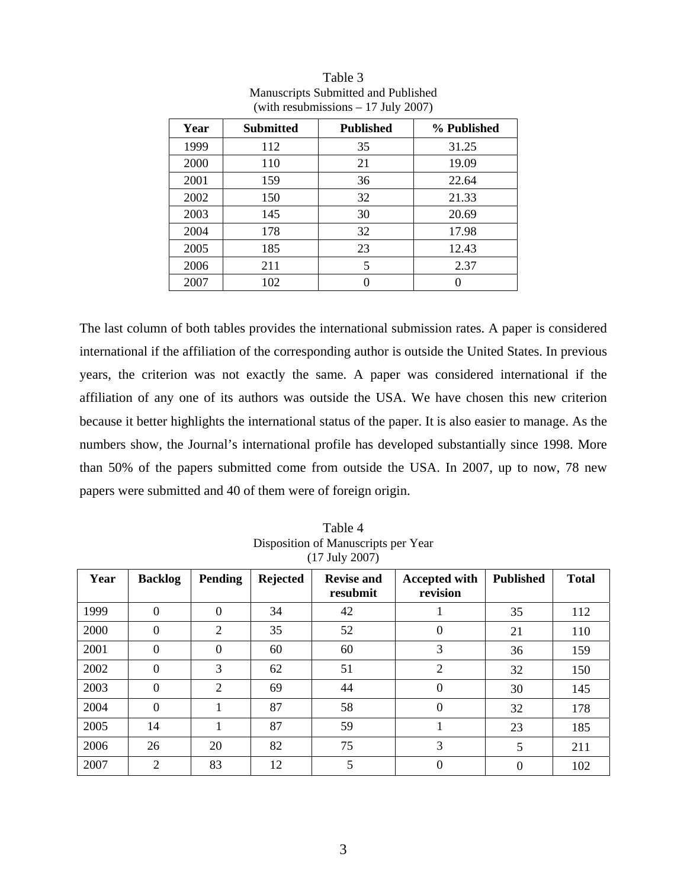| Year | <b>Submitted</b> | <b>Published</b> | % Published |
|------|------------------|------------------|-------------|
| 1999 | 112              | 35               | 31.25       |
| 2000 | 110              | 21               | 19.09       |
| 2001 | 159              | 36               | 22.64       |
| 2002 | 150              | 32               | 21.33       |
| 2003 | 145              | 30               | 20.69       |
| 2004 | 178              | 32               | 17.98       |
| 2005 | 185              | 23               | 12.43       |
| 2006 | 211              | 5                | 2.37        |
| 2007 | 102              |                  |             |

Table 3 Manuscripts Submitted and Published (with resubmissions – 17 July 2007)

The last column of both tables provides the international submission rates. A paper is considered international if the affiliation of the corresponding author is outside the United States. In previous years, the criterion was not exactly the same. A paper was considered international if the affiliation of any one of its authors was outside the USA. We have chosen this new criterion because it better highlights the international status of the paper. It is also easier to manage. As the numbers show, the Journal's international profile has developed substantially since 1998. More than 50% of the papers submitted come from outside the USA. In 2007, up to now, 78 new papers were submitted and 40 of them were of foreign origin.

| .<br>┙ |                |                |                 |                               |                                  |                  |              |  |  |
|--------|----------------|----------------|-----------------|-------------------------------|----------------------------------|------------------|--------------|--|--|
| Year   | <b>Backlog</b> | <b>Pending</b> | <b>Rejected</b> | <b>Revise and</b><br>resubmit | <b>Accepted with</b><br>revision | <b>Published</b> | <b>Total</b> |  |  |
| 1999   | $\Omega$       | $\Omega$       | 34              | 42                            |                                  | 35               | 112          |  |  |
| 2000   | 0              | $\overline{2}$ | 35              | 52                            | $\theta$                         | 21               | 110          |  |  |
| 2001   | 0              | $\theta$       | 60              | 60                            | 3                                | 36               | 159          |  |  |
| 2002   | $\theta$       | 3              | 62              | 51                            | $\overline{2}$                   | 32               | 150          |  |  |
| 2003   | 0              | 2              | 69              | 44                            | $\Omega$                         | 30               | 145          |  |  |
| 2004   | $\theta$       |                | 87              | 58                            | $\Omega$                         | 32               | 178          |  |  |
| 2005   | 14             |                | 87              | 59                            |                                  | 23               | 185          |  |  |
| 2006   | 26             | 20             | 82              | 75                            | 3                                | 5                | 211          |  |  |
| 2007   | 2              | 83             | 12              | 5                             | $\Omega$                         | $\theta$         | 102          |  |  |

Table 4 Disposition of Manuscripts per Year (17 July 2007)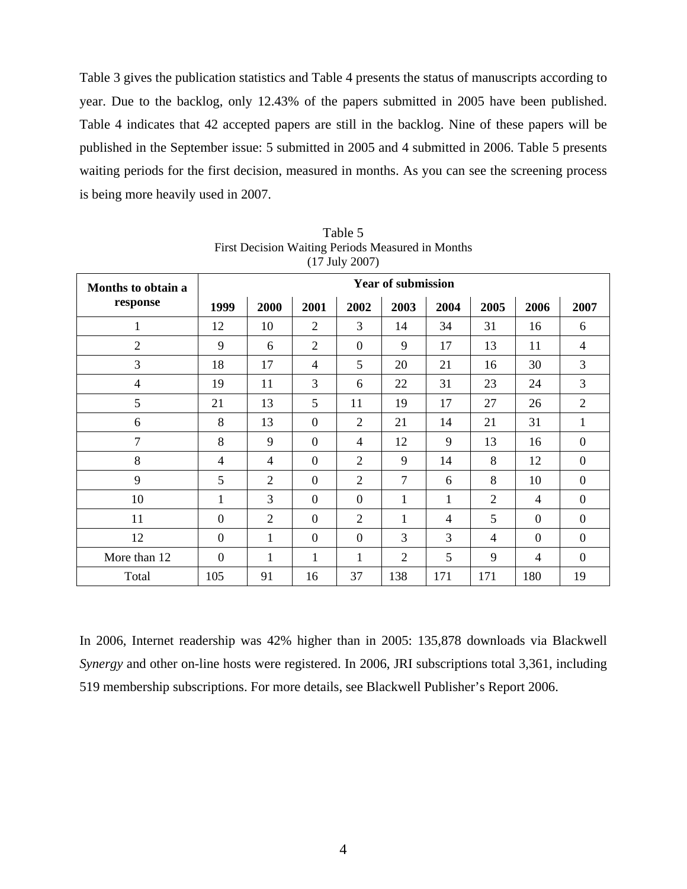Table 3 gives the publication statistics and Table 4 presents the status of manuscripts according to year. Due to the backlog, only 12.43% of the papers submitted in 2005 have been published. Table 4 indicates that 42 accepted papers are still in the backlog. Nine of these papers will be published in the September issue: 5 submitted in 2005 and 4 submitted in 2006. Table 5 presents waiting periods for the first decision, measured in months. As you can see the screening process is being more heavily used in 2007.

| Months to obtain a | <b>Year of submission</b> |                |                |                |                |      |                |                |                |
|--------------------|---------------------------|----------------|----------------|----------------|----------------|------|----------------|----------------|----------------|
| response           | 1999                      | 2000           | 2001           | 2002           | 2003           | 2004 | 2005           | 2006           | 2007           |
| 1                  | 12                        | 10             | $\overline{2}$ | 3              | 14             | 34   | 31             | 16             | 6              |
| $\overline{2}$     | 9                         | 6              | $\overline{2}$ | $\overline{0}$ | 9              | 17   | 13             | 11             | $\overline{4}$ |
| 3                  | 18                        | 17             | 4              | 5              | 20             | 21   | 16             | 30             | 3              |
| $\overline{4}$     | 19                        | 11             | 3              | 6              | 22             | 31   | 23             | 24             | 3              |
| 5                  | 21                        | 13             | 5              | 11             | 19             | 17   | 27             | 26             | $\overline{2}$ |
| 6                  | 8                         | 13             | $\overline{0}$ | $\overline{2}$ | 21             | 14   | 21             | 31             | 1              |
| $\overline{7}$     | 8                         | 9              | $\overline{0}$ | $\overline{4}$ | 12             | 9    | 13             | 16             | $\theta$       |
| 8                  | 4                         | 4              | $\overline{0}$ | $\overline{2}$ | 9              | 14   | 8              | 12             | $\mathbf{0}$   |
| 9                  | 5                         | $\overline{2}$ | $\theta$       | $\overline{2}$ | $\overline{7}$ | 6    | 8              | 10             | $\overline{0}$ |
| 10                 | 1                         | 3              | $\theta$       | $\theta$       | 1              | 1    | $\overline{2}$ | $\overline{4}$ | $\theta$       |
| 11                 | $\boldsymbol{0}$          | $\overline{2}$ | $\theta$       | $\overline{2}$ | 1              | 4    | 5              | $\theta$       | $\mathbf{0}$   |
| 12                 | $\theta$                  | 1              | $\overline{0}$ | $\theta$       | 3              | 3    | $\overline{4}$ | $\theta$       | $\theta$       |
| More than 12       | $\theta$                  | $\mathbf{1}$   | 1              | 1              | $\overline{2}$ | 5    | 9              | $\overline{4}$ | $\overline{0}$ |
| Total              | 105                       | 91             | 16             | 37             | 138            | 171  | 171            | 180            | 19             |

Table 5 First Decision Waiting Periods Measured in Months (17 July 2007)

In 2006, Internet readership was 42% higher than in 2005: 135,878 downloads via Blackwell *Synergy* and other on-line hosts were registered. In 2006, JRI subscriptions total 3,361, including 519 membership subscriptions. For more details, see Blackwell Publisher's Report 2006.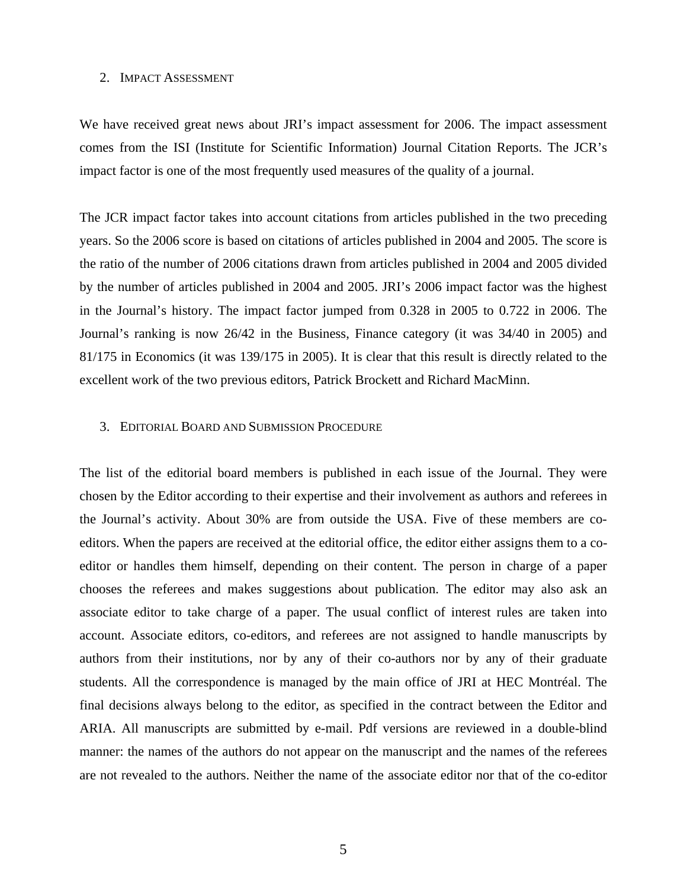### 2. IMPACT ASSESSMENT

We have received great news about JRI's impact assessment for 2006. The impact assessment comes from the ISI (Institute for Scientific Information) Journal Citation Reports. The JCR's impact factor is one of the most frequently used measures of the quality of a journal.

The JCR impact factor takes into account citations from articles published in the two preceding years. So the 2006 score is based on citations of articles published in 2004 and 2005. The score is the ratio of the number of 2006 citations drawn from articles published in 2004 and 2005 divided by the number of articles published in 2004 and 2005. JRI's 2006 impact factor was the highest in the Journal's history. The impact factor jumped from 0.328 in 2005 to 0.722 in 2006. The Journal's ranking is now 26/42 in the Business, Finance category (it was 34/40 in 2005) and 81/175 in Economics (it was 139/175 in 2005). It is clear that this result is directly related to the excellent work of the two previous editors, Patrick Brockett and Richard MacMinn.

#### 3. EDITORIAL BOARD AND SUBMISSION PROCEDURE

The list of the editorial board members is published in each issue of the Journal. They were chosen by the Editor according to their expertise and their involvement as authors and referees in the Journal's activity. About 30% are from outside the USA. Five of these members are coeditors. When the papers are received at the editorial office, the editor either assigns them to a coeditor or handles them himself, depending on their content. The person in charge of a paper chooses the referees and makes suggestions about publication. The editor may also ask an associate editor to take charge of a paper. The usual conflict of interest rules are taken into account. Associate editors, co-editors, and referees are not assigned to handle manuscripts by authors from their institutions, nor by any of their co-authors nor by any of their graduate students. All the correspondence is managed by the main office of JRI at HEC Montréal. The final decisions always belong to the editor, as specified in the contract between the Editor and ARIA. All manuscripts are submitted by e-mail. Pdf versions are reviewed in a double-blind manner: the names of the authors do not appear on the manuscript and the names of the referees are not revealed to the authors. Neither the name of the associate editor nor that of the co-editor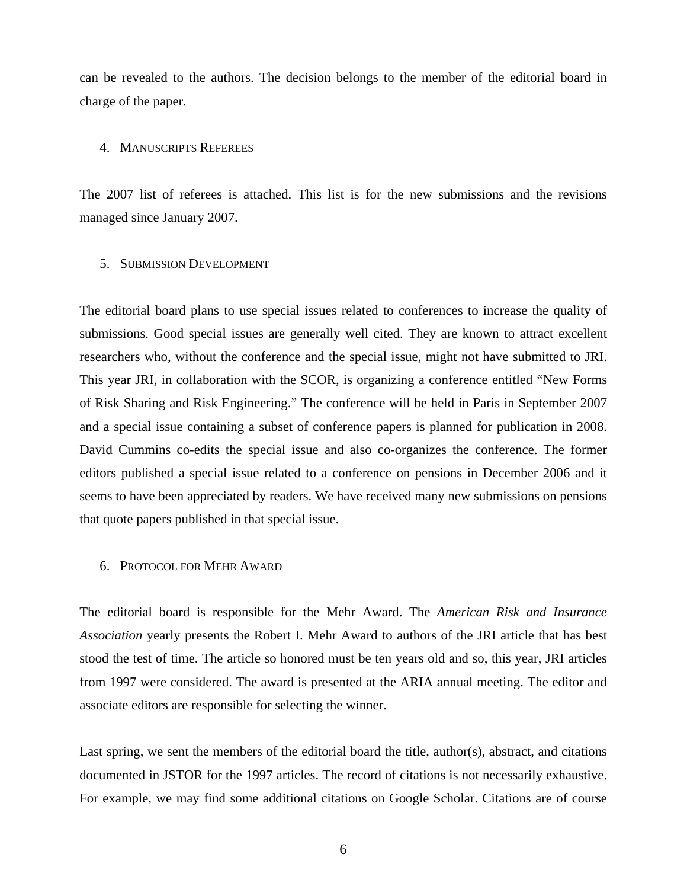can be revealed to the authors. The decision belongs to the member of the editorial board in charge of the paper.

# 4. MANUSCRIPTS REFEREES

The 2007 list of referees is attached. This list is for the new submissions and the revisions managed since January 2007.

# 5. SUBMISSION DEVELOPMENT

The editorial board plans to use special issues related to conferences to increase the quality of submissions. Good special issues are generally well cited. They are known to attract excellent researchers who, without the conference and the special issue, might not have submitted to JRI. This year JRI, in collaboration with the SCOR, is organizing a conference entitled "New Forms of Risk Sharing and Risk Engineering." The conference will be held in Paris in September 2007 and a special issue containing a subset of conference papers is planned for publication in 2008. David Cummins co-edits the special issue and also co-organizes the conference. The former editors published a special issue related to a conference on pensions in December 2006 and it seems to have been appreciated by readers. We have received many new submissions on pensions that quote papers published in that special issue.

#### 6. PROTOCOL FOR MEHR AWARD

The editorial board is responsible for the Mehr Award. The *American Risk and Insurance Association* yearly presents the Robert I. Mehr Award to authors of the JRI article that has best stood the test of time. The article so honored must be ten years old and so, this year, JRI articles from 1997 were considered. The award is presented at the ARIA annual meeting. The editor and associate editors are responsible for selecting the winner.

Last spring, we sent the members of the editorial board the title, author(s), abstract, and citations documented in JSTOR for the 1997 articles. The record of citations is not necessarily exhaustive. For example, we may find some additional citations on Google Scholar. Citations are of course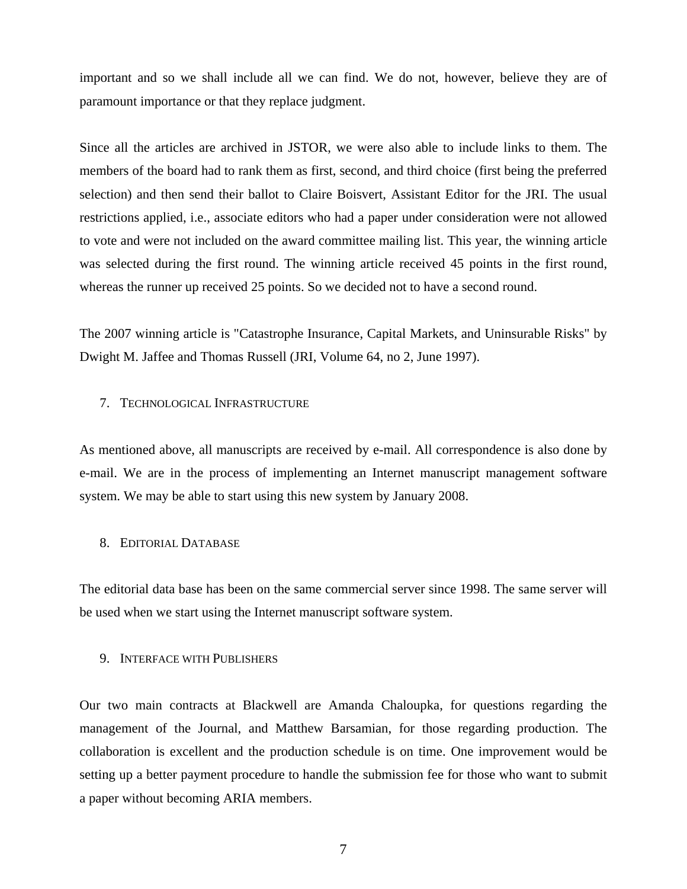important and so we shall include all we can find. We do not, however, believe they are of paramount importance or that they replace judgment.

Since all the articles are archived in JSTOR, we were also able to include links to them. The members of the board had to rank them as first, second, and third choice (first being the preferred selection) and then send their ballot to Claire Boisvert, Assistant Editor for the JRI. The usual restrictions applied, i.e., associate editors who had a paper under consideration were not allowed to vote and were not included on the award committee mailing list. This year, the winning article was selected during the first round. The winning article received 45 points in the first round, whereas the runner up received 25 points. So we decided not to have a second round.

The 2007 winning article is "Catastrophe Insurance, Capital Markets, and Uninsurable Risks" by Dwight M. Jaffee and Thomas Russell (JRI, Volume 64, no 2, June 1997).

# 7. TECHNOLOGICAL INFRASTRUCTURE

As mentioned above, all manuscripts are received by e-mail. All correspondence is also done by e-mail. We are in the process of implementing an Internet manuscript management software system. We may be able to start using this new system by January 2008.

# 8. EDITORIAL DATABASE

The editorial data base has been on the same commercial server since 1998. The same server will be used when we start using the Internet manuscript software system.

#### 9. INTERFACE WITH PUBLISHERS

Our two main contracts at Blackwell are Amanda Chaloupka, for questions regarding the management of the Journal, and Matthew Barsamian, for those regarding production. The collaboration is excellent and the production schedule is on time. One improvement would be setting up a better payment procedure to handle the submission fee for those who want to submit a paper without becoming ARIA members.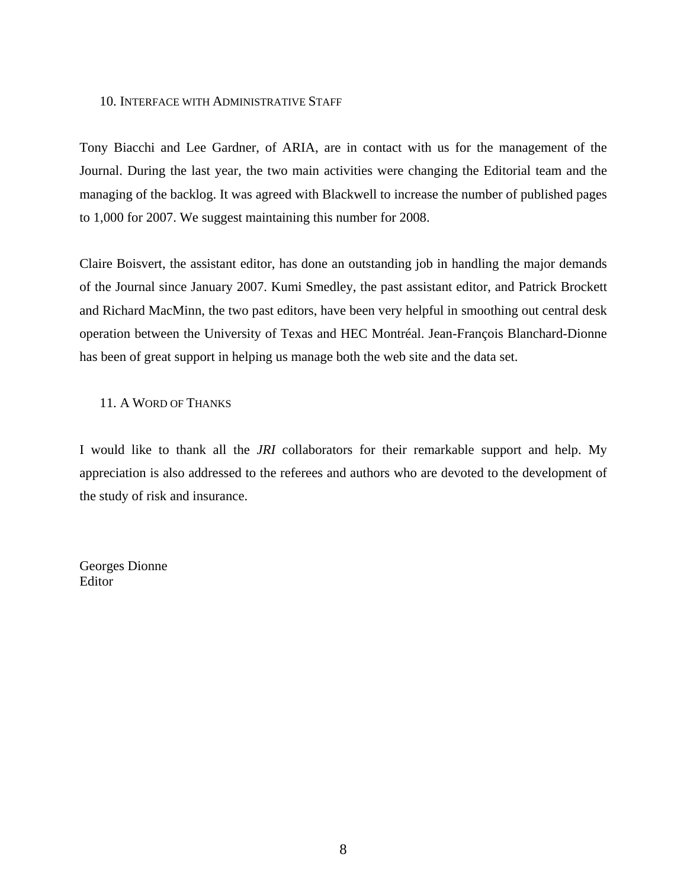# 10. INTERFACE WITH ADMINISTRATIVE STAFF

Tony Biacchi and Lee Gardner, of ARIA, are in contact with us for the management of the Journal. During the last year, the two main activities were changing the Editorial team and the managing of the backlog. It was agreed with Blackwell to increase the number of published pages to 1,000 for 2007. We suggest maintaining this number for 2008.

Claire Boisvert, the assistant editor, has done an outstanding job in handling the major demands of the Journal since January 2007. Kumi Smedley, the past assistant editor, and Patrick Brockett and Richard MacMinn, the two past editors, have been very helpful in smoothing out central desk operation between the University of Texas and HEC Montréal. Jean-François Blanchard-Dionne has been of great support in helping us manage both the web site and the data set.

# 11. A WORD OF THANKS

I would like to thank all the *JRI* collaborators for their remarkable support and help. My appreciation is also addressed to the referees and authors who are devoted to the development of the study of risk and insurance.

Georges Dionne Editor